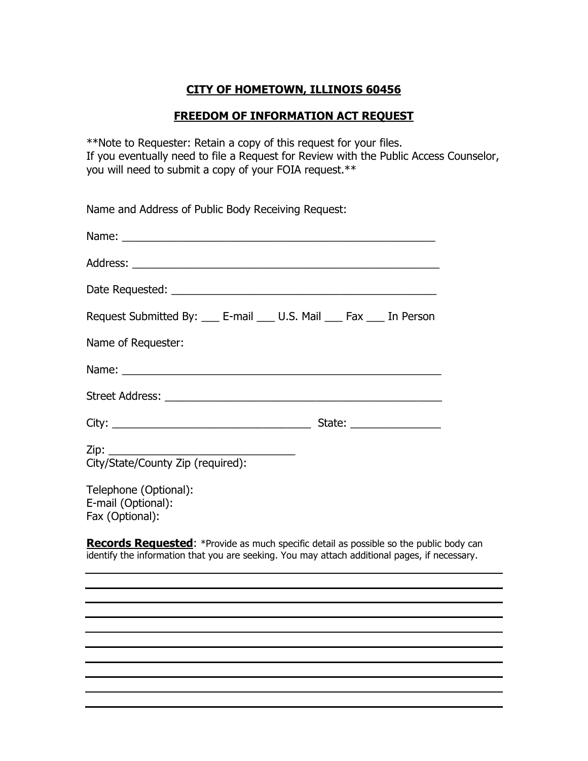## **CITY OF HOMETOWN, ILLINOIS 60456**

## **FREEDOM OF INFORMATION ACT REQUEST**

\*\*Note to Requester: Retain a copy of this request for your files. If you eventually need to file a Request for Review with the Public Access Counselor, you will need to submit a copy of your FOIA request.\*\*

Name and Address of Public Body Receiving Request:

| Name: <u>Department of the contract of the contract of the contract of the contract of the contract of the contract of the contract of the contract of the contract of the contract of the contract of the contract of the contr</u> |  |
|--------------------------------------------------------------------------------------------------------------------------------------------------------------------------------------------------------------------------------------|--|
|                                                                                                                                                                                                                                      |  |
|                                                                                                                                                                                                                                      |  |
| Request Submitted By: ___ E-mail ___ U.S. Mail ___ Fax ___ In Person                                                                                                                                                                 |  |
| Name of Requester:                                                                                                                                                                                                                   |  |
|                                                                                                                                                                                                                                      |  |
|                                                                                                                                                                                                                                      |  |
|                                                                                                                                                                                                                                      |  |
| Zip:<br>City/State/County Zip (required):                                                                                                                                                                                            |  |
| Telephone (Optional):<br>E-mail (Optional):<br>Fax (Optional):                                                                                                                                                                       |  |

**Records Requested:** \*Provide as much specific detail as possible so the public body can identify the information that you are seeking. You may attach additional pages, if necessary.